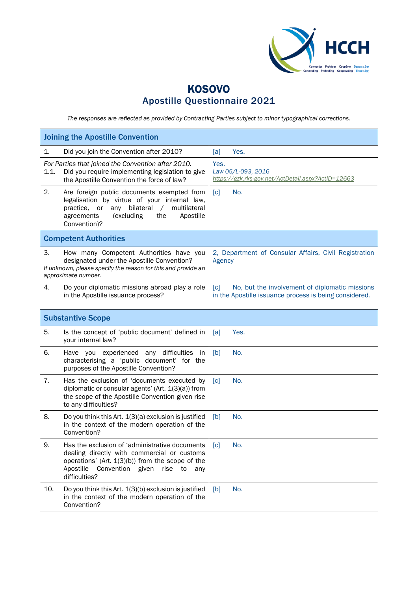

## KOSOVO Apostille Questionnaire 2021

*The responses are reflected as provided by Contracting Parties subject to minor typographical corrections.*

| <b>Joining the Apostille Convention</b>                                                                                                                                                                                            |                                                                                                                               |  |  |
|------------------------------------------------------------------------------------------------------------------------------------------------------------------------------------------------------------------------------------|-------------------------------------------------------------------------------------------------------------------------------|--|--|
| Did you join the Convention after 2010?<br>1.                                                                                                                                                                                      | [a]<br>Yes.                                                                                                                   |  |  |
| For Parties that joined the Convention after 2010.<br>1.1.<br>Did you require implementing legislation to give<br>the Apostille Convention the force of law?                                                                       | Yes.<br>Law 05/L-093, 2016<br>https://gzk.rks-gov.net/ActDetail.aspx?ActID=12663                                              |  |  |
| 2.<br>Are foreign public documents exempted from<br>legalisation by virtue of your internal law,<br>bilateral<br>multilateral<br>practice, or<br>any<br>$\sqrt{2}$<br>(excluding<br>agreements<br>the<br>Apostille<br>Convention)? | No.<br>$\lceil c \rceil$                                                                                                      |  |  |
| <b>Competent Authorities</b>                                                                                                                                                                                                       |                                                                                                                               |  |  |
| З.<br>How many Competent Authorities have you<br>designated under the Apostille Convention?<br>If unknown, please specify the reason for this and provide an<br>approximate number.                                                | 2, Department of Consular Affairs, Civil Registration<br>Agency                                                               |  |  |
| 4.<br>Do your diplomatic missions abroad play a role<br>in the Apostille issuance process?                                                                                                                                         | $\lceil c \rceil$<br>No, but the involvement of diplomatic missions<br>in the Apostille issuance process is being considered. |  |  |
| <b>Substantive Scope</b>                                                                                                                                                                                                           |                                                                                                                               |  |  |
| 5.<br>Is the concept of 'public document' defined in<br>your internal law?                                                                                                                                                         | Yes.<br>[a]                                                                                                                   |  |  |
| 6.<br>Have you experienced any difficulties<br><sub>in</sub><br>characterising a 'public document' for the<br>purposes of the Apostille Convention?                                                                                | [b]<br>No.                                                                                                                    |  |  |
| 7.<br>Has the exclusion of 'documents executed by<br>diplomatic or consular agents' (Art. 1(3)(a)) from<br>the scope of the Apostille Convention given rise<br>to any difficulties?                                                | $\lceil c \rceil$<br>No.                                                                                                      |  |  |
| 8.<br>Do you think this Art. 1(3)(a) exclusion is justified<br>in the context of the modern operation of the<br>Convention?                                                                                                        | No.<br>[b]                                                                                                                    |  |  |
| Has the exclusion of 'administrative documents<br>9.<br>dealing directly with commercial or customs<br>operations' (Art. $1(3)(b)$ ) from the scope of the<br>Apostille<br>Convention given<br>rise to<br>any<br>difficulties?     | [c]<br>No.                                                                                                                    |  |  |
| 10.<br>Do you think this Art. 1(3)(b) exclusion is justified<br>in the context of the modern operation of the<br>Convention?                                                                                                       | No.<br>[b]                                                                                                                    |  |  |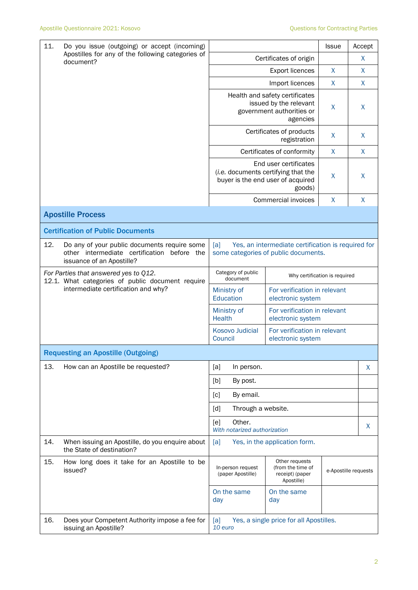| 11.<br>Do you issue (outgoing) or accept (incoming)<br>Apostilles for any of the following categories of<br>document? |                                                                                                                             |                                                                                                                | <b>Issue</b>                                      | Accept       |                      |  |
|-----------------------------------------------------------------------------------------------------------------------|-----------------------------------------------------------------------------------------------------------------------------|----------------------------------------------------------------------------------------------------------------|---------------------------------------------------|--------------|----------------------|--|
|                                                                                                                       |                                                                                                                             | Certificates of origin                                                                                         |                                                   | X            |                      |  |
|                                                                                                                       |                                                                                                                             |                                                                                                                | X                                                 | X            |                      |  |
|                                                                                                                       |                                                                                                                             | Import licences                                                                                                |                                                   | X            | X                    |  |
|                                                                                                                       |                                                                                                                             | Health and safety certificates<br>issued by the relevant<br>government authorities or<br>agencies              |                                                   | X            | X                    |  |
|                                                                                                                       |                                                                                                                             | Certificates of products                                                                                       | X                                                 | X            |                      |  |
|                                                                                                                       |                                                                                                                             |                                                                                                                | Certificates of conformity                        | $\mathsf{X}$ | X                    |  |
|                                                                                                                       |                                                                                                                             | End user certificates<br>(i.e. documents certifying that the<br>buyer is the end user of acquired<br>goods)    |                                                   | X            | $\sf X$              |  |
|                                                                                                                       |                                                                                                                             |                                                                                                                | <b>Commercial invoices</b>                        | X            | X                    |  |
|                                                                                                                       | <b>Apostille Process</b>                                                                                                    |                                                                                                                |                                                   |              |                      |  |
|                                                                                                                       | <b>Certification of Public Documents</b>                                                                                    |                                                                                                                |                                                   |              |                      |  |
| 12.                                                                                                                   | Do any of your public documents require some<br>other intermediate certification<br>before the<br>issuance of an Apostille? | Yes, an intermediate certification is required for<br>[a]<br>some categories of public documents.              |                                                   |              |                      |  |
|                                                                                                                       | For Parties that answered yes to Q12.<br>12.1. What categories of public document require                                   | Category of public<br>Why certification is required<br>document                                                |                                                   |              |                      |  |
| intermediate certification and why?                                                                                   |                                                                                                                             | For verification in relevant<br>Ministry of<br>Education<br>electronic system                                  |                                                   |              |                      |  |
|                                                                                                                       |                                                                                                                             | Ministry of<br><b>Health</b>                                                                                   | For verification in relevant<br>electronic system |              |                      |  |
|                                                                                                                       |                                                                                                                             | <b>Kosovo Judicial</b><br>Council                                                                              | For verification in relevant<br>electronic system |              |                      |  |
| <b>Requesting an Apostille (Outgoing)</b>                                                                             |                                                                                                                             |                                                                                                                |                                                   |              |                      |  |
| 13.                                                                                                                   | How can an Apostille be requested?                                                                                          | [a]<br>In person.                                                                                              |                                                   |              | X                    |  |
|                                                                                                                       |                                                                                                                             | [b]<br>By post.                                                                                                |                                                   |              |                      |  |
|                                                                                                                       |                                                                                                                             | By email.<br>$\lceil c \rceil$                                                                                 |                                                   |              |                      |  |
|                                                                                                                       |                                                                                                                             | Through a website.<br>[d]                                                                                      |                                                   |              |                      |  |
|                                                                                                                       |                                                                                                                             | Other.<br>[e]<br>With notarized authorization                                                                  |                                                   |              | X                    |  |
| 14.                                                                                                                   | When issuing an Apostille, do you enquire about<br>the State of destination?                                                | Yes, in the application form.<br>[a]                                                                           |                                                   |              |                      |  |
| 15.                                                                                                                   | How long does it take for an Apostille to be<br>issued?                                                                     | Other requests<br>In-person request<br>(from the time of<br>receipt) (paper<br>(paper Apostille)<br>Apostille) |                                                   |              | e-Apostille requests |  |
|                                                                                                                       |                                                                                                                             | On the same<br>day                                                                                             | On the same<br>day                                |              |                      |  |
| 16.                                                                                                                   | Does your Competent Authority impose a fee for<br>issuing an Apostille?                                                     | [a]<br>10 euro                                                                                                 | Yes, a single price for all Apostilles.           |              |                      |  |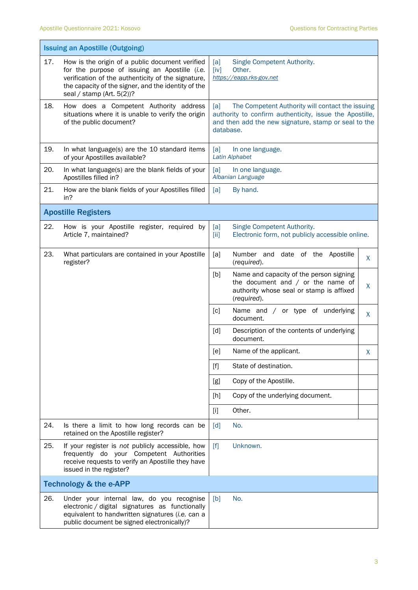|                                   | <b>Issuing an Apostille (Outgoing)</b>                                                                                                                                                                                                        |                                                                                                                                                                                         |   |  |
|-----------------------------------|-----------------------------------------------------------------------------------------------------------------------------------------------------------------------------------------------------------------------------------------------|-----------------------------------------------------------------------------------------------------------------------------------------------------------------------------------------|---|--|
|                                   |                                                                                                                                                                                                                                               |                                                                                                                                                                                         |   |  |
| 17.                               | How is the origin of a public document verified<br>for the purpose of issuing an Apostille (i.e.<br>verification of the authenticity of the signature,<br>the capacity of the signer, and the identity of the<br>seal / stamp (Art. $5(2)$ )? | Single Competent Authority.<br>[a]<br>(iv]<br>Other.<br>https://eapp.rks-gov.net                                                                                                        |   |  |
| 18.                               | How does a Competent Authority address<br>situations where it is unable to verify the origin<br>of the public document?                                                                                                                       | The Competent Authority will contact the issuing<br>[a]<br>authority to confirm authenticity, issue the Apostille,<br>and then add the new signature, stamp or seal to the<br>database. |   |  |
| 19.                               | In what language(s) are the 10 standard items<br>of your Apostilles available?                                                                                                                                                                | [a]<br>In one language.<br><b>Latin Alphabet</b>                                                                                                                                        |   |  |
| 20.                               | In what language(s) are the blank fields of your<br>Apostilles filled in?                                                                                                                                                                     | [a]<br>In one language.<br>Albanian Language                                                                                                                                            |   |  |
| 21.                               | How are the blank fields of your Apostilles filled<br>in?                                                                                                                                                                                     | [a]<br>By hand.                                                                                                                                                                         |   |  |
|                                   | <b>Apostille Registers</b>                                                                                                                                                                                                                    |                                                                                                                                                                                         |   |  |
| 22.                               | How is your Apostille register, required by<br>Article 7, maintained?                                                                                                                                                                         | Single Competent Authority.<br>[a]<br>Electronic form, not publicly accessible online.<br>$\left[\text{iii}\right]$                                                                     |   |  |
| 23.                               | What particulars are contained in your Apostille<br>register?                                                                                                                                                                                 | Number and date of the Apostille<br>[a]<br>(required).                                                                                                                                  | X |  |
|                                   |                                                                                                                                                                                                                                               | [b]<br>Name and capacity of the person signing<br>the document and $/$ or the name of<br>authority whose seal or stamp is affixed<br>(required).                                        | X |  |
|                                   |                                                                                                                                                                                                                                               | Name and / or type of underlying<br>[c]<br>document.                                                                                                                                    | X |  |
|                                   |                                                                                                                                                                                                                                               | [d]<br>Description of the contents of underlying<br>document.                                                                                                                           |   |  |
|                                   |                                                                                                                                                                                                                                               | [e]<br>Name of the applicant.                                                                                                                                                           | Χ |  |
|                                   |                                                                                                                                                                                                                                               | State of destination.<br>$[f]$                                                                                                                                                          |   |  |
|                                   |                                                                                                                                                                                                                                               | Copy of the Apostille.<br>[g]                                                                                                                                                           |   |  |
|                                   |                                                                                                                                                                                                                                               | Copy of the underlying document.<br>[h]                                                                                                                                                 |   |  |
|                                   |                                                                                                                                                                                                                                               | Other.<br>$[1]$                                                                                                                                                                         |   |  |
| 24.                               | Is there a limit to how long records can be<br>retained on the Apostille register?                                                                                                                                                            | No.<br>[d]                                                                                                                                                                              |   |  |
| 25.                               | If your register is not publicly accessible, how<br>frequently do your Competent Authorities<br>receive requests to verify an Apostille they have<br>issued in the register?                                                                  | [f]<br>Unknown.                                                                                                                                                                         |   |  |
| <b>Technology &amp; the e-APP</b> |                                                                                                                                                                                                                                               |                                                                                                                                                                                         |   |  |
| 26.                               | Under your internal law, do you recognise<br>electronic / digital signatures as functionally<br>equivalent to handwritten signatures (i.e. can a<br>public document be signed electronically)?                                                | No.<br>[b]                                                                                                                                                                              |   |  |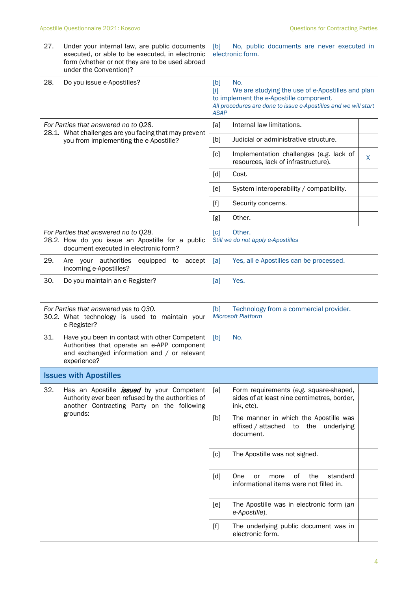| 27. | Under your internal law, are public documents<br>executed, or able to be executed, in electronic<br>form (whether or not they are to be used abroad<br>under the Convention)? | [b]<br>No, public documents are never executed in<br>electronic form.                                                                                                                                           |                                                                                                                                                                       |   |
|-----|-------------------------------------------------------------------------------------------------------------------------------------------------------------------------------|-----------------------------------------------------------------------------------------------------------------------------------------------------------------------------------------------------------------|-----------------------------------------------------------------------------------------------------------------------------------------------------------------------|---|
| 28. | Do you issue e-Apostilles?                                                                                                                                                    | [b]<br>$[1]$<br><b>ASAP</b>                                                                                                                                                                                     | No.<br>We are studying the use of e-Apostilles and plan<br>to implement the e-Apostille component.<br>All procedures are done to issue e-Apostilles and we will start |   |
|     | For Parties that answered no to Q28.<br>28.1. What challenges are you facing that may prevent                                                                                 | [a]                                                                                                                                                                                                             | Internal law limitations.                                                                                                                                             |   |
|     | you from implementing the e-Apostille?                                                                                                                                        | [b]                                                                                                                                                                                                             | Judicial or administrative structure.                                                                                                                                 |   |
|     |                                                                                                                                                                               | [c]                                                                                                                                                                                                             | Implementation challenges (e.g. lack of<br>resources, lack of infrastructure).                                                                                        | X |
|     |                                                                                                                                                                               | $\lceil d \rceil$                                                                                                                                                                                               | Cost.                                                                                                                                                                 |   |
|     |                                                                                                                                                                               | [e]                                                                                                                                                                                                             | System interoperability / compatibility.                                                                                                                              |   |
|     |                                                                                                                                                                               | $[f]$                                                                                                                                                                                                           | Security concerns.                                                                                                                                                    |   |
|     |                                                                                                                                                                               | [g]                                                                                                                                                                                                             | Other.                                                                                                                                                                |   |
|     | For Parties that answered no to Q28.<br>28.2. How do you issue an Apostille for a public<br>document executed in electronic form?                                             | $\lceil c \rceil$                                                                                                                                                                                               | Other.<br>Still we do not apply e-Apostilles                                                                                                                          |   |
| 29. | Are your authorities<br>equipped to<br>accept<br>incoming e-Apostilles?                                                                                                       | [a]                                                                                                                                                                                                             | Yes, all e-Apostilles can be processed.                                                                                                                               |   |
| 30. | Do you maintain an e-Register?                                                                                                                                                | [a]                                                                                                                                                                                                             | Yes.                                                                                                                                                                  |   |
|     | For Parties that answered yes to Q30.<br>30.2. What technology is used to maintain your<br>e-Register?                                                                        | [b]                                                                                                                                                                                                             | Technology from a commercial provider.<br><b>Microsoft Platform</b>                                                                                                   |   |
| 31. | Have you been in contact with other Competent<br>Authorities that operate an e-APP component<br>and exchanged information and / or relevant<br>experience?                    | [b]                                                                                                                                                                                                             | No.                                                                                                                                                                   |   |
|     | <b>Issues with Apostilles</b>                                                                                                                                                 |                                                                                                                                                                                                                 |                                                                                                                                                                       |   |
| 32. | Has an Apostille <i>issued</i> by your Competent<br>Authority ever been refused by the authorities of<br>another Contracting Party on the following                           | [a]                                                                                                                                                                                                             | Form requirements (e.g. square-shaped,<br>sides of at least nine centimetres, border,<br>ink, etc).                                                                   |   |
|     | grounds:                                                                                                                                                                      | [b]                                                                                                                                                                                                             | The manner in which the Apostille was<br>affixed / attached<br>the underlying<br>to<br>document.                                                                      |   |
|     |                                                                                                                                                                               | [c]                                                                                                                                                                                                             | The Apostille was not signed.                                                                                                                                         |   |
|     |                                                                                                                                                                               | [d]                                                                                                                                                                                                             | οf<br>the<br>One<br>standard<br>or<br>more<br>informational items were not filled in.                                                                                 |   |
|     |                                                                                                                                                                               | [e]                                                                                                                                                                                                             | The Apostille was in electronic form (an<br>e-Apostille).                                                                                                             |   |
|     |                                                                                                                                                                               | $[f] % \begin{center} \includegraphics[width=\linewidth]{imagesSupplemental/Imers.png} \end{center} % \vspace*{-1em} \caption{The figure shows the results of the estimators in the image.} \label{fig:limsub}$ | The underlying public document was in<br>electronic form.                                                                                                             |   |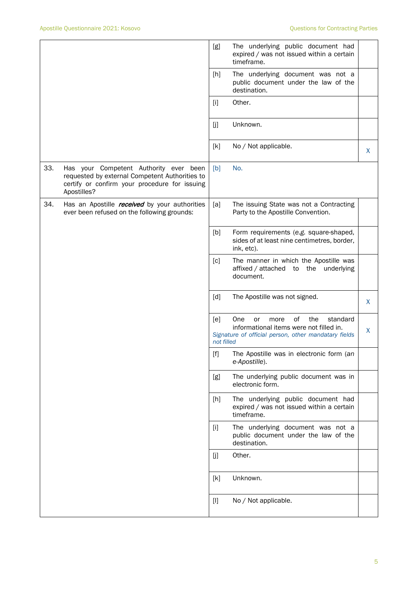|     |                                                                                                                                                          | [g]                                                                                                                                                                                                                                                                                                                                                                                                                                                                                                                                                                                                                                                               | The underlying public document had<br>expired / was not issued within a certain<br>timeframe.                                                 |   |
|-----|----------------------------------------------------------------------------------------------------------------------------------------------------------|-------------------------------------------------------------------------------------------------------------------------------------------------------------------------------------------------------------------------------------------------------------------------------------------------------------------------------------------------------------------------------------------------------------------------------------------------------------------------------------------------------------------------------------------------------------------------------------------------------------------------------------------------------------------|-----------------------------------------------------------------------------------------------------------------------------------------------|---|
|     |                                                                                                                                                          | [h]                                                                                                                                                                                                                                                                                                                                                                                                                                                                                                                                                                                                                                                               | The underlying document was not a<br>public document under the law of the<br>destination.                                                     |   |
|     |                                                                                                                                                          | $[1]$                                                                                                                                                                                                                                                                                                                                                                                                                                                                                                                                                                                                                                                             | Other.                                                                                                                                        |   |
|     |                                                                                                                                                          | [j]                                                                                                                                                                                                                                                                                                                                                                                                                                                                                                                                                                                                                                                               | Unknown.                                                                                                                                      |   |
|     |                                                                                                                                                          | [k]                                                                                                                                                                                                                                                                                                                                                                                                                                                                                                                                                                                                                                                               | No / Not applicable.                                                                                                                          | X |
| 33. | Has your Competent Authority ever been<br>requested by external Competent Authorities to<br>certify or confirm your procedure for issuing<br>Apostilles? | [b]                                                                                                                                                                                                                                                                                                                                                                                                                                                                                                                                                                                                                                                               | No.                                                                                                                                           |   |
| 34. | Has an Apostille <i>received</i> by your authorities<br>ever been refused on the following grounds:                                                      | [a]                                                                                                                                                                                                                                                                                                                                                                                                                                                                                                                                                                                                                                                               | The issuing State was not a Contracting<br>Party to the Apostille Convention.                                                                 |   |
|     |                                                                                                                                                          | [b]                                                                                                                                                                                                                                                                                                                                                                                                                                                                                                                                                                                                                                                               | Form requirements (e.g. square-shaped,<br>sides of at least nine centimetres, border,<br>ink, etc).                                           |   |
|     |                                                                                                                                                          | [c]                                                                                                                                                                                                                                                                                                                                                                                                                                                                                                                                                                                                                                                               | The manner in which the Apostille was<br>affixed / attached to the underlying<br>document.                                                    |   |
|     |                                                                                                                                                          | [d]                                                                                                                                                                                                                                                                                                                                                                                                                                                                                                                                                                                                                                                               | The Apostille was not signed.                                                                                                                 | X |
|     |                                                                                                                                                          | [e]<br>not filled                                                                                                                                                                                                                                                                                                                                                                                                                                                                                                                                                                                                                                                 | of<br>the<br>One<br>standard<br>or<br>more<br>informational items were not filled in.<br>Signature of official person, other mandatary fields | X |
|     |                                                                                                                                                          | $[f] % \begin{center} % \includegraphics[width=\linewidth]{imagesSupplemental_3.png} % \end{center} % \caption { % \textit{DefNet} of the \textit{DefNet} dataset. % Note that the \textit{DefNet} and \textit{DefNet} dataset. % Note that the \textit{DefNet} and \textit{DefNet} dataset. % Note that the \textit{DefNet} and \textit{DefNet} dataset. % Note that the \textit{DefNet} and \textit{DefNet} dataset. % Note that the \textit{DefNet} and \textit{DefNet} dataset. % Note that the \textit{DefNet} and \textit{DefNet} dataset. % Note that the \textit{DefNet} and \textit{DefNet} dataset. % Note that the \textit{DefNet} and \textit{DefNet$ | The Apostille was in electronic form (an<br>e-Apostille).                                                                                     |   |
|     |                                                                                                                                                          | [g]                                                                                                                                                                                                                                                                                                                                                                                                                                                                                                                                                                                                                                                               | The underlying public document was in<br>electronic form.                                                                                     |   |
|     |                                                                                                                                                          | [h]                                                                                                                                                                                                                                                                                                                                                                                                                                                                                                                                                                                                                                                               | The underlying public document had<br>expired / was not issued within a certain<br>timeframe.                                                 |   |
|     |                                                                                                                                                          | $[1]$                                                                                                                                                                                                                                                                                                                                                                                                                                                                                                                                                                                                                                                             | The underlying document was not a<br>public document under the law of the<br>destination.                                                     |   |
|     |                                                                                                                                                          | [j]                                                                                                                                                                                                                                                                                                                                                                                                                                                                                                                                                                                                                                                               | Other.                                                                                                                                        |   |
|     |                                                                                                                                                          | [k]                                                                                                                                                                                                                                                                                                                                                                                                                                                                                                                                                                                                                                                               | Unknown.                                                                                                                                      |   |
|     |                                                                                                                                                          | $[1]$                                                                                                                                                                                                                                                                                                                                                                                                                                                                                                                                                                                                                                                             | No / Not applicable.                                                                                                                          |   |